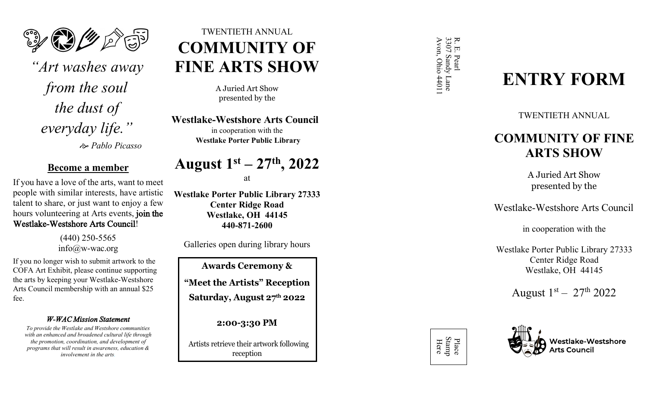

*"Art washes away from the soul the dust of everyday life."*  <sup>e</sup> *Pablo Picasso* 

# **Become a member**

If you have a love of the arts, want to meet people with similar interests, have artistic talent to share, or just want to enjoy a few hours volunteering at Arts events, join the Westlake-Westshore Arts Council!

> (440) 250-5565 info@w-wac.org

If you no longer wish to submit artwork to the COFA Art Exhibit, please continue supporting the arts by keeping your Westlake-Westshore Arts Council membership with an annual \$25 fee.

# *W-WAC Mission Statement*

*To provide the Westlake and Westshore communities with an enhanced and broadened cultural life through the promotion, coordination, and development of programs that will result in awareness, education & involvement in the arts.*

# TWENTIETH ANNUAL **COMMUNITY OF FINE ARTS SHOW**

A Juried Art Show presented by the

**Westlake-Westshore Arts Council**  in cooperation with the **Westlake Porter Public Library** 

# **August 1st – 2 7 th , 2022**

at

**Westlake Porter Public Library 27333 Center Ridge Road Westlake, OH 44145 440-871-2600**

Galleries open during library hours

**Awards Ceremony & "Meet th e Artists" Reception Saturday, August 27th 2022**

**2:00 -3:30 PM**

Artists retrieve their artwork following reception

R. E. Pearl<br>3307 Sandy Lane<br>Avon, Ohio 44011 3307 Sandy Lane R. E. Pearl Ohio 44011

# **ENTRY FORM**

TWENTIETH ANNUAL

# **COMMUNITY OF FINE ARTS SHOW**

A Juried Art Show presented by the

Westlake-Westshore Arts Council

in cooperation with the

Westlake Porter Public Library 27333 Center Ridge Road Westlake, OH 44145

August  $1<sup>st</sup> - 27<sup>th</sup> 2022$